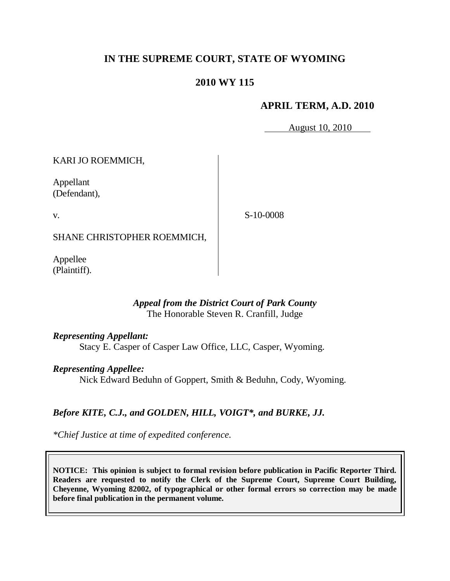# **IN THE SUPREME COURT, STATE OF WYOMING**

# **2010 WY 115**

## **APRIL TERM, A.D. 2010**

August 10, 2010

KARI JO ROEMMICH,

Appellant (Defendant),

v.

S-10-0008

SHANE CHRISTOPHER ROEMMICH,

Appellee (Plaintiff).

## *Appeal from the District Court of Park County* The Honorable Steven R. Cranfill, Judge

*Representing Appellant:*

Stacy E. Casper of Casper Law Office, LLC, Casper, Wyoming.

## *Representing Appellee:*

Nick Edward Beduhn of Goppert, Smith & Beduhn, Cody, Wyoming.

# *Before KITE, C.J., and GOLDEN, HILL, VOIGT\*, and BURKE, JJ.*

*\*Chief Justice at time of expedited conference.*

**NOTICE: This opinion is subject to formal revision before publication in Pacific Reporter Third. Readers are requested to notify the Clerk of the Supreme Court, Supreme Court Building, Cheyenne, Wyoming 82002, of typographical or other formal errors so correction may be made before final publication in the permanent volume.**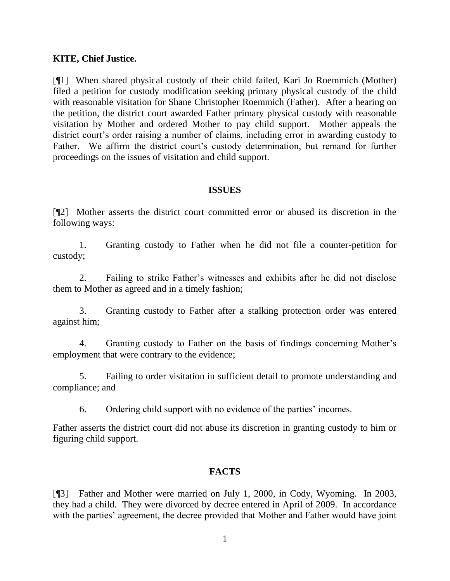### **KITE, Chief Justice.**

[¶1] When shared physical custody of their child failed, Kari Jo Roemmich (Mother) filed a petition for custody modification seeking primary physical custody of the child with reasonable visitation for Shane Christopher Roemmich (Father). After a hearing on the petition, the district court awarded Father primary physical custody with reasonable visitation by Mother and ordered Mother to pay child support. Mother appeals the district court's order raising a number of claims, including error in awarding custody to Father. We affirm the district court's custody determination, but remand for further proceedings on the issues of visitation and child support.

#### **ISSUES**

[¶2] Mother asserts the district court committed error or abused its discretion in the following ways:

1. Granting custody to Father when he did not file a counter-petition for custody;

2. Failing to strike Father's witnesses and exhibits after he did not disclose them to Mother as agreed and in a timely fashion;

3. Granting custody to Father after a stalking protection order was entered against him;

4. Granting custody to Father on the basis of findings concerning Mother's employment that were contrary to the evidence;

5. Failing to order visitation in sufficient detail to promote understanding and compliance; and

6. Ordering child support with no evidence of the parties' incomes.

Father asserts the district court did not abuse its discretion in granting custody to him or figuring child support.

## **FACTS**

[¶3] Father and Mother were married on July 1, 2000, in Cody, Wyoming. In 2003, they had a child. They were divorced by decree entered in April of 2009. In accordance with the parties' agreement, the decree provided that Mother and Father would have joint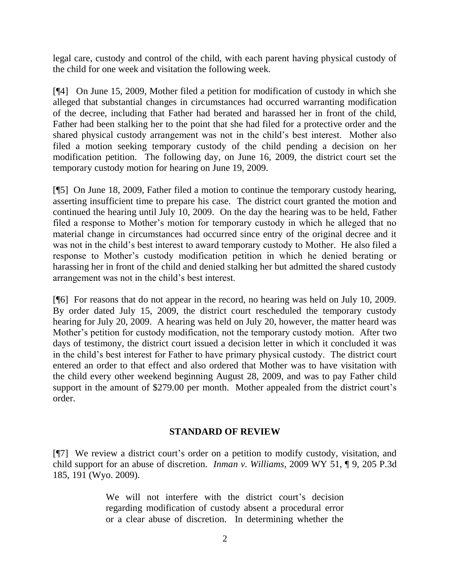legal care, custody and control of the child, with each parent having physical custody of the child for one week and visitation the following week.

[¶4] On June 15, 2009, Mother filed a petition for modification of custody in which she alleged that substantial changes in circumstances had occurred warranting modification of the decree, including that Father had berated and harassed her in front of the child, Father had been stalking her to the point that she had filed for a protective order and the shared physical custody arrangement was not in the child's best interest. Mother also filed a motion seeking temporary custody of the child pending a decision on her modification petition. The following day, on June 16, 2009, the district court set the temporary custody motion for hearing on June 19, 2009.

[¶5] On June 18, 2009, Father filed a motion to continue the temporary custody hearing, asserting insufficient time to prepare his case. The district court granted the motion and continued the hearing until July 10, 2009. On the day the hearing was to be held, Father filed a response to Mother's motion for temporary custody in which he alleged that no material change in circumstances had occurred since entry of the original decree and it was not in the child's best interest to award temporary custody to Mother. He also filed a response to Mother's custody modification petition in which he denied berating or harassing her in front of the child and denied stalking her but admitted the shared custody arrangement was not in the child's best interest.

[¶6] For reasons that do not appear in the record, no hearing was held on July 10, 2009. By order dated July 15, 2009, the district court rescheduled the temporary custody hearing for July 20, 2009. A hearing was held on July 20, however, the matter heard was Mother's petition for custody modification, not the temporary custody motion. After two days of testimony, the district court issued a decision letter in which it concluded it was in the child's best interest for Father to have primary physical custody. The district court entered an order to that effect and also ordered that Mother was to have visitation with the child every other weekend beginning August 28, 2009, and was to pay Father child support in the amount of \$279.00 per month. Mother appealed from the district court's order.

## **STANDARD OF REVIEW**

[¶7] We review a district court's order on a petition to modify custody, visitation, and child support for an abuse of discretion. *Inman v. Williams*, 2009 WY 51, ¶ 9, 205 P.3d 185, 191 (Wyo. 2009).

> We will not interfere with the district court's decision regarding modification of custody absent a procedural error or a clear abuse of discretion. In determining whether the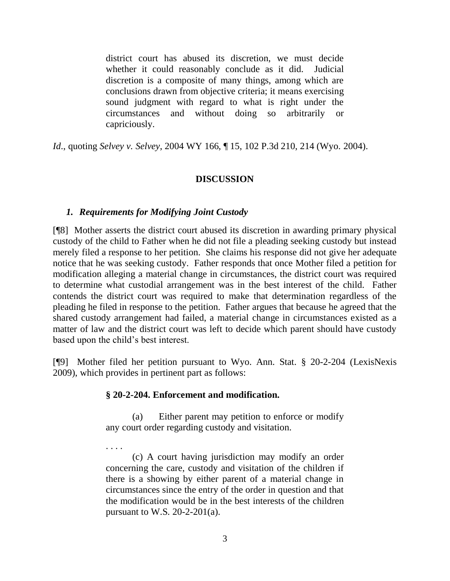district court has abused its discretion, we must decide whether it could reasonably conclude as it did. Judicial discretion is a composite of many things, among which are conclusions drawn from objective criteria; it means exercising sound judgment with regard to what is right under the circumstances and without doing so arbitrarily or capriciously.

*Id*., quoting *Selvey v. Selvey*, 2004 WY 166, ¶ 15, 102 P.3d 210, 214 (Wyo. 2004).

## **DISCUSSION**

#### *1. Requirements for Modifying Joint Custody*

[¶8] Mother asserts the district court abused its discretion in awarding primary physical custody of the child to Father when he did not file a pleading seeking custody but instead merely filed a response to her petition. She claims his response did not give her adequate notice that he was seeking custody. Father responds that once Mother filed a petition for modification alleging a material change in circumstances, the district court was required to determine what custodial arrangement was in the best interest of the child. Father contends the district court was required to make that determination regardless of the pleading he filed in response to the petition. Father argues that because he agreed that the shared custody arrangement had failed, a material change in circumstances existed as a matter of law and the district court was left to decide which parent should have custody based upon the child's best interest.

[¶9] Mother filed her petition pursuant to Wyo. Ann. Stat. § 20-2-204 (LexisNexis 2009), which provides in pertinent part as follows:

#### **§ 20-2-204. Enforcement and modification.**

. . . .

(a) Either parent may petition to enforce or modify any court order regarding custody and visitation.

(c) A court having jurisdiction may modify an order concerning the care, custody and visitation of the children if there is a showing by either parent of a material change in circumstances since the entry of the order in question and that the modification would be in the best interests of the children pursuant to W.S.  $20-2-201(a)$ .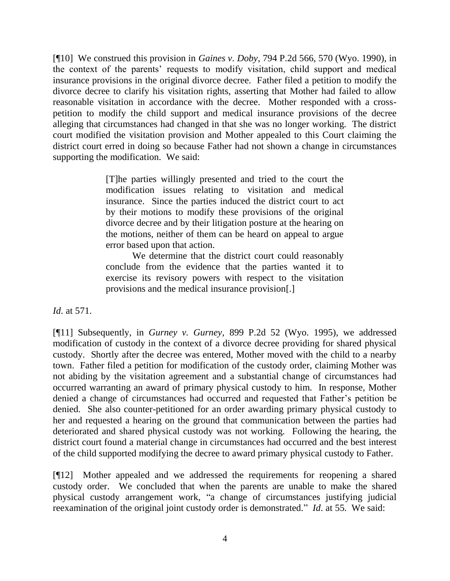[¶10] We construed this provision in *Gaines v. Doby*, 794 P.2d 566, 570 (Wyo. 1990), in the context of the parents' requests to modify visitation, child support and medical insurance provisions in the original divorce decree. Father filed a petition to modify the divorce decree to clarify his visitation rights, asserting that Mother had failed to allow reasonable visitation in accordance with the decree. Mother responded with a crosspetition to modify the child support and medical insurance provisions of the decree alleging that circumstances had changed in that she was no longer working. The district court modified the visitation provision and Mother appealed to this Court claiming the district court erred in doing so because Father had not shown a change in circumstances supporting the modification. We said:

> [T]he parties willingly presented and tried to the court the modification issues relating to visitation and medical insurance. Since the parties induced the district court to act by their motions to modify these provisions of the original divorce decree and by their litigation posture at the hearing on the motions, neither of them can be heard on appeal to argue error based upon that action.

> We determine that the district court could reasonably conclude from the evidence that the parties wanted it to exercise its revisory powers with respect to the visitation provisions and the medical insurance provision[.]

*Id*. at 571.

[¶11] Subsequently, in *Gurney v. Gurney*, 899 P.2d 52 (Wyo. 1995), we addressed modification of custody in the context of a divorce decree providing for shared physical custody. Shortly after the decree was entered, Mother moved with the child to a nearby town. Father filed a petition for modification of the custody order, claiming Mother was not abiding by the visitation agreement and a substantial change of circumstances had occurred warranting an award of primary physical custody to him. In response, Mother denied a change of circumstances had occurred and requested that Father's petition be denied. She also counter-petitioned for an order awarding primary physical custody to her and requested a hearing on the ground that communication between the parties had deteriorated and shared physical custody was not working. Following the hearing, the district court found a material change in circumstances had occurred and the best interest of the child supported modifying the decree to award primary physical custody to Father.

[¶12] Mother appealed and we addressed the requirements for reopening a shared custody order. We concluded that when the parents are unable to make the shared physical custody arrangement work, ―a change of circumstances justifying judicial reexamination of the original joint custody order is demonstrated." *Id.* at 55. We said: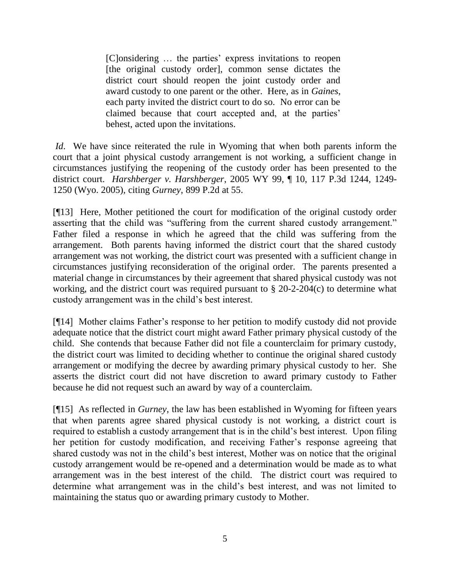[C]onsidering … the parties' express invitations to reopen [the original custody order], common sense dictates the district court should reopen the joint custody order and award custody to one parent or the other. Here, as in *Gaines*, each party invited the district court to do so. No error can be claimed because that court accepted and, at the parties' behest, acted upon the invitations.

*Id.* We have since reiterated the rule in Wyoming that when both parents inform the court that a joint physical custody arrangement is not working, a sufficient change in circumstances justifying the reopening of the custody order has been presented to the district court. *Harshberger v. Harshberger*, 2005 WY 99, ¶ 10, 117 P.3d 1244, 1249- 1250 (Wyo. 2005), citing *Gurney*, 899 P.2d at 55.

[¶13] Here, Mother petitioned the court for modification of the original custody order asserting that the child was "suffering from the current shared custody arrangement." Father filed a response in which he agreed that the child was suffering from the arrangement. Both parents having informed the district court that the shared custody arrangement was not working, the district court was presented with a sufficient change in circumstances justifying reconsideration of the original order. The parents presented a material change in circumstances by their agreement that shared physical custody was not working, and the district court was required pursuant to § 20-2-204(c) to determine what custody arrangement was in the child's best interest.

[¶14] Mother claims Father's response to her petition to modify custody did not provide adequate notice that the district court might award Father primary physical custody of the child. She contends that because Father did not file a counterclaim for primary custody, the district court was limited to deciding whether to continue the original shared custody arrangement or modifying the decree by awarding primary physical custody to her. She asserts the district court did not have discretion to award primary custody to Father because he did not request such an award by way of a counterclaim.

[¶15] As reflected in *Gurney*, the law has been established in Wyoming for fifteen years that when parents agree shared physical custody is not working, a district court is required to establish a custody arrangement that is in the child's best interest. Upon filing her petition for custody modification, and receiving Father's response agreeing that shared custody was not in the child's best interest, Mother was on notice that the original custody arrangement would be re-opened and a determination would be made as to what arrangement was in the best interest of the child. The district court was required to determine what arrangement was in the child's best interest, and was not limited to maintaining the status quo or awarding primary custody to Mother.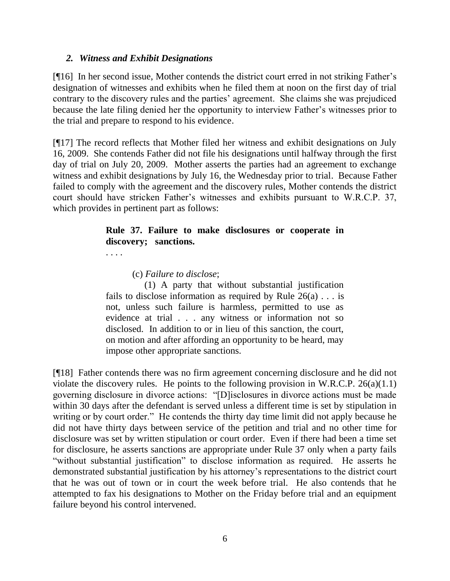#### *2. Witness and Exhibit Designations*

[¶16] In her second issue, Mother contends the district court erred in not striking Father's designation of witnesses and exhibits when he filed them at noon on the first day of trial contrary to the discovery rules and the parties' agreement. She claims she was prejudiced because the late filing denied her the opportunity to interview Father's witnesses prior to the trial and prepare to respond to his evidence.

[¶17] The record reflects that Mother filed her witness and exhibit designations on July 16, 2009. She contends Father did not file his designations until halfway through the first day of trial on July 20, 2009. Mother asserts the parties had an agreement to exchange witness and exhibit designations by July 16, the Wednesday prior to trial. Because Father failed to comply with the agreement and the discovery rules, Mother contends the district court should have stricken Father's witnesses and exhibits pursuant to W.R.C.P. 37, which provides in pertinent part as follows:

## **Rule 37. Failure to make disclosures or cooperate in discovery; sanctions.**

. . . .

#### (c) *Failure to disclose*;

 (1) A party that without substantial justification fails to disclose information as required by Rule  $26(a) \ldots$  is not, unless such failure is harmless, permitted to use as evidence at trial . . . any witness or information not so disclosed. In addition to or in lieu of this sanction, the court, on motion and after affording an opportunity to be heard, may impose other appropriate sanctions.

[¶18] Father contends there was no firm agreement concerning disclosure and he did not violate the discovery rules. He points to the following provision in W.R.C.P.  $26(a)(1.1)$ governing disclosure in divorce actions: "[D]isclosures in divorce actions must be made within 30 days after the defendant is served unless a different time is set by stipulation in writing or by court order." He contends the thirty day time limit did not apply because he did not have thirty days between service of the petition and trial and no other time for disclosure was set by written stipulation or court order. Even if there had been a time set for disclosure, he asserts sanctions are appropriate under Rule 37 only when a party fails "without substantial justification" to disclose information as required. He asserts he demonstrated substantial justification by his attorney's representations to the district court that he was out of town or in court the week before trial. He also contends that he attempted to fax his designations to Mother on the Friday before trial and an equipment failure beyond his control intervened.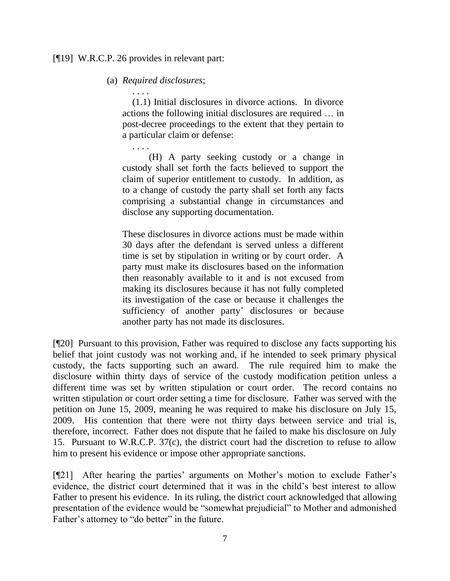#### [¶19] W.R.C.P. 26 provides in relevant part:

(a) *Required disclosures*;

. . . . (1.1) Initial disclosures in divorce actions. In divorce actions the following initial disclosures are required … in post-decree proceedings to the extent that they pertain to a particular claim or defense:

. . . . (H) A party seeking custody or a change in custody shall set forth the facts believed to support the claim of superior entitlement to custody. In addition, as to a change of custody the party shall set forth any facts comprising a substantial change in circumstances and disclose any supporting documentation.

These disclosures in divorce actions must be made within 30 days after the defendant is served unless a different time is set by stipulation in writing or by court order. A party must make its disclosures based on the information then reasonably available to it and is not excused from making its disclosures because it has not fully completed its investigation of the case or because it challenges the sufficiency of another party' disclosures or because another party has not made its disclosures.

[¶20] Pursuant to this provision, Father was required to disclose any facts supporting his belief that joint custody was not working and, if he intended to seek primary physical custody, the facts supporting such an award. The rule required him to make the disclosure within thirty days of service of the custody modification petition unless a different time was set by written stipulation or court order. The record contains no written stipulation or court order setting a time for disclosure. Father was served with the petition on June 15, 2009, meaning he was required to make his disclosure on July 15, 2009. His contention that there were not thirty days between service and trial is, therefore, incorrect. Father does not dispute that he failed to make his disclosure on July 15. Pursuant to W.R.C.P. 37(c), the district court had the discretion to refuse to allow him to present his evidence or impose other appropriate sanctions.

[¶21] After hearing the parties' arguments on Mother's motion to exclude Father's evidence, the district court determined that it was in the child's best interest to allow Father to present his evidence. In its ruling, the district court acknowledged that allowing presentation of the evidence would be "somewhat prejudicial" to Mother and admonished Father's attorney to "do better" in the future.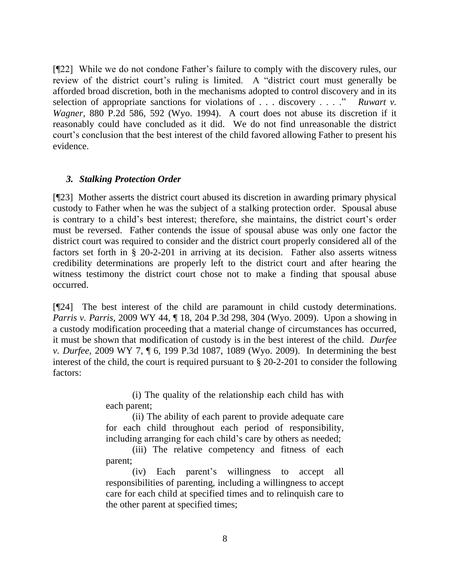[¶22] While we do not condone Father's failure to comply with the discovery rules, our review of the district court's ruling is limited. A "district court must generally be afforded broad discretion, both in the mechanisms adopted to control discovery and in its selection of appropriate sanctions for violations of  $\dots$  discovery  $\dots$ . *Ruwart v. Wagner*, 880 P.2d 586, 592 (Wyo. 1994). A court does not abuse its discretion if it reasonably could have concluded as it did. We do not find unreasonable the district court's conclusion that the best interest of the child favored allowing Father to present his evidence.

### *3. Stalking Protection Order*

[¶23] Mother asserts the district court abused its discretion in awarding primary physical custody to Father when he was the subject of a stalking protection order. Spousal abuse is contrary to a child's best interest; therefore, she maintains, the district court's order must be reversed. Father contends the issue of spousal abuse was only one factor the district court was required to consider and the district court properly considered all of the factors set forth in § 20-2-201 in arriving at its decision. Father also asserts witness credibility determinations are properly left to the district court and after hearing the witness testimony the district court chose not to make a finding that spousal abuse occurred.

[¶24] The best interest of the child are paramount in child custody determinations. *Parris v. Parris*, 2009 WY 44, ¶ 18, 204 P.3d 298, 304 (Wyo. 2009). Upon a showing in a custody modification proceeding that a material change of circumstances has occurred, it must be shown that modification of custody is in the best interest of the child. *Durfee v. Durfee*, 2009 WY 7, ¶ 6, 199 P.3d 1087, 1089 (Wyo. 2009). In determining the best interest of the child, the court is required pursuant to § 20-2-201 to consider the following factors:

> (i) The quality of the relationship each child has with each parent;

> (ii) The ability of each parent to provide adequate care for each child throughout each period of responsibility, including arranging for each child's care by others as needed;

> (iii) The relative competency and fitness of each parent;

> (iv) Each parent's willingness to accept all responsibilities of parenting, including a willingness to accept care for each child at specified times and to relinquish care to the other parent at specified times;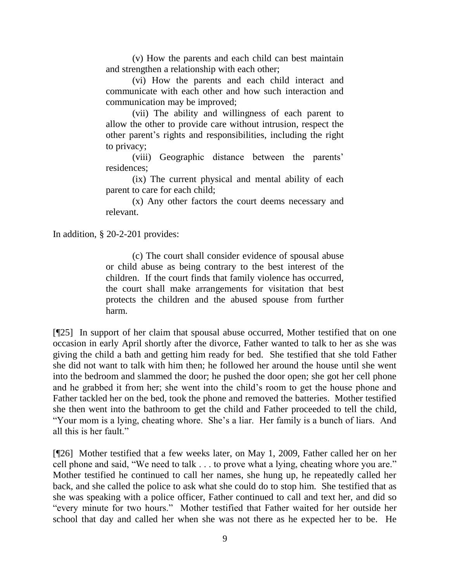(v) How the parents and each child can best maintain and strengthen a relationship with each other;

(vi) How the parents and each child interact and communicate with each other and how such interaction and communication may be improved;

(vii) The ability and willingness of each parent to allow the other to provide care without intrusion, respect the other parent's rights and responsibilities, including the right to privacy;

(viii) Geographic distance between the parents' residences;

(ix) The current physical and mental ability of each parent to care for each child;

(x) Any other factors the court deems necessary and relevant.

In addition, § 20-2-201 provides:

(c) The court shall consider evidence of spousal abuse or child abuse as being contrary to the best interest of the children. If the court finds that family violence has occurred, the court shall make arrangements for visitation that best protects the children and the abused spouse from further harm.

[¶25] In support of her claim that spousal abuse occurred, Mother testified that on one occasion in early April shortly after the divorce, Father wanted to talk to her as she was giving the child a bath and getting him ready for bed. She testified that she told Father she did not want to talk with him then; he followed her around the house until she went into the bedroom and slammed the door; he pushed the door open; she got her cell phone and he grabbed it from her; she went into the child's room to get the house phone and Father tackled her on the bed, took the phone and removed the batteries. Mother testified she then went into the bathroom to get the child and Father proceeded to tell the child, "Your mom is a lying, cheating whore. She's a liar. Her family is a bunch of liars. And all this is her fault."

[¶26] Mother testified that a few weeks later, on May 1, 2009, Father called her on her cell phone and said, "We need to talk . . . to prove what a lying, cheating whore you are." Mother testified he continued to call her names, she hung up, he repeatedly called her back, and she called the police to ask what she could do to stop him. She testified that as she was speaking with a police officer, Father continued to call and text her, and did so "every minute for two hours." Mother testified that Father waited for her outside her school that day and called her when she was not there as he expected her to be. He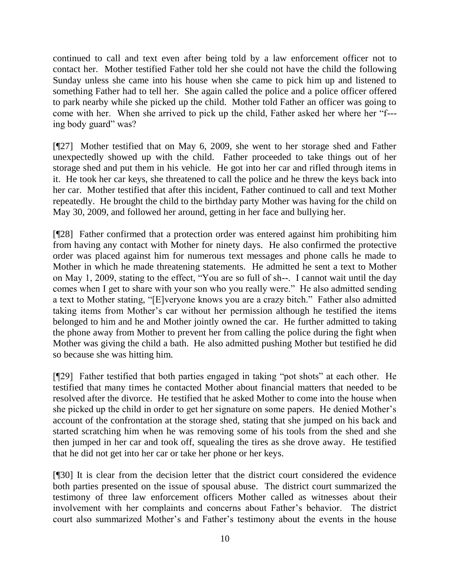continued to call and text even after being told by a law enforcement officer not to contact her. Mother testified Father told her she could not have the child the following Sunday unless she came into his house when she came to pick him up and listened to something Father had to tell her. She again called the police and a police officer offered to park nearby while she picked up the child. Mother told Father an officer was going to come with her. When she arrived to pick up the child, Father asked her where her "f--ing body guard" was?

[¶27] Mother testified that on May 6, 2009, she went to her storage shed and Father unexpectedly showed up with the child. Father proceeded to take things out of her storage shed and put them in his vehicle. He got into her car and rifled through items in it. He took her car keys, she threatened to call the police and he threw the keys back into her car. Mother testified that after this incident, Father continued to call and text Mother repeatedly. He brought the child to the birthday party Mother was having for the child on May 30, 2009, and followed her around, getting in her face and bullying her.

[¶28] Father confirmed that a protection order was entered against him prohibiting him from having any contact with Mother for ninety days. He also confirmed the protective order was placed against him for numerous text messages and phone calls he made to Mother in which he made threatening statements. He admitted he sent a text to Mother on May 1, 2009, stating to the effect, "You are so full of sh--. I cannot wait until the day comes when I get to share with your son who you really were." He also admitted sending a text to Mother stating, "[E]veryone knows you are a crazy bitch." Father also admitted taking items from Mother's car without her permission although he testified the items belonged to him and he and Mother jointly owned the car. He further admitted to taking the phone away from Mother to prevent her from calling the police during the fight when Mother was giving the child a bath. He also admitted pushing Mother but testified he did so because she was hitting him.

[¶29] Father testified that both parties engaged in taking "pot shots" at each other. He testified that many times he contacted Mother about financial matters that needed to be resolved after the divorce. He testified that he asked Mother to come into the house when she picked up the child in order to get her signature on some papers. He denied Mother's account of the confrontation at the storage shed, stating that she jumped on his back and started scratching him when he was removing some of his tools from the shed and she then jumped in her car and took off, squealing the tires as she drove away. He testified that he did not get into her car or take her phone or her keys.

[¶30] It is clear from the decision letter that the district court considered the evidence both parties presented on the issue of spousal abuse. The district court summarized the testimony of three law enforcement officers Mother called as witnesses about their involvement with her complaints and concerns about Father's behavior. The district court also summarized Mother's and Father's testimony about the events in the house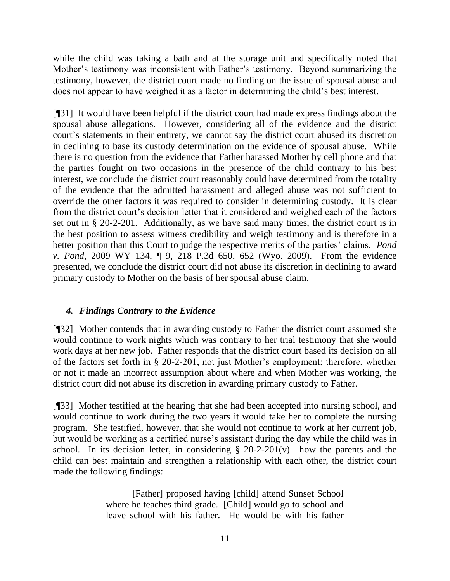while the child was taking a bath and at the storage unit and specifically noted that Mother's testimony was inconsistent with Father's testimony. Beyond summarizing the testimony, however, the district court made no finding on the issue of spousal abuse and does not appear to have weighed it as a factor in determining the child's best interest.

[¶31] It would have been helpful if the district court had made express findings about the spousal abuse allegations. However, considering all of the evidence and the district court's statements in their entirety, we cannot say the district court abused its discretion in declining to base its custody determination on the evidence of spousal abuse. While there is no question from the evidence that Father harassed Mother by cell phone and that the parties fought on two occasions in the presence of the child contrary to his best interest, we conclude the district court reasonably could have determined from the totality of the evidence that the admitted harassment and alleged abuse was not sufficient to override the other factors it was required to consider in determining custody. It is clear from the district court's decision letter that it considered and weighed each of the factors set out in § 20-2-201. Additionally, as we have said many times, the district court is in the best position to assess witness credibility and weigh testimony and is therefore in a better position than this Court to judge the respective merits of the parties' claims. *Pond v. Pond*, 2009 WY 134, ¶ 9, 218 P.3d 650, 652 (Wyo. 2009). From the evidence presented, we conclude the district court did not abuse its discretion in declining to award primary custody to Mother on the basis of her spousal abuse claim.

## *4. Findings Contrary to the Evidence*

[¶32] Mother contends that in awarding custody to Father the district court assumed she would continue to work nights which was contrary to her trial testimony that she would work days at her new job. Father responds that the district court based its decision on all of the factors set forth in § 20-2-201, not just Mother's employment; therefore, whether or not it made an incorrect assumption about where and when Mother was working, the district court did not abuse its discretion in awarding primary custody to Father.

[¶33] Mother testified at the hearing that she had been accepted into nursing school, and would continue to work during the two years it would take her to complete the nursing program. She testified, however, that she would not continue to work at her current job, but would be working as a certified nurse's assistant during the day while the child was in school. In its decision letter, in considering  $\S$  20-2-201(v)—how the parents and the child can best maintain and strengthen a relationship with each other, the district court made the following findings:

> [Father] proposed having [child] attend Sunset School where he teaches third grade. [Child] would go to school and leave school with his father. He would be with his father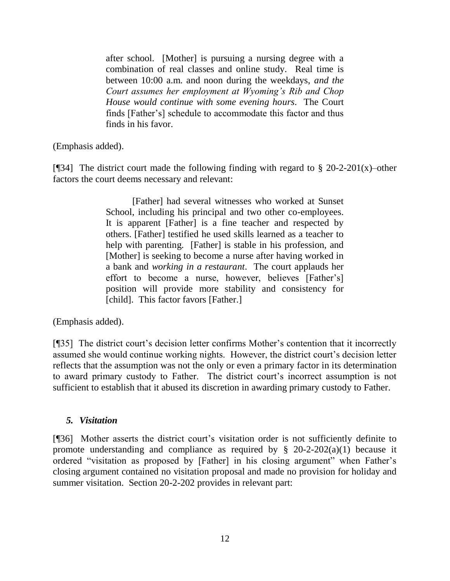after school. [Mother] is pursuing a nursing degree with a combination of real classes and online study. Real time is between 10:00 a.m. and noon during the weekdays, *and the Court assumes her employment at Wyoming's Rib and Chop House would continue with some evening hours*. The Court finds [Father's] schedule to accommodate this factor and thus finds in his favor.

(Emphasis added).

[¶34] The district court made the following finding with regard to  $\S 20$ -2-201(x)–other factors the court deems necessary and relevant:

> [Father] had several witnesses who worked at Sunset School, including his principal and two other co-employees. It is apparent [Father] is a fine teacher and respected by others. [Father] testified he used skills learned as a teacher to help with parenting. [Father] is stable in his profession, and [Mother] is seeking to become a nurse after having worked in a bank and *working in a restaurant*. The court applauds her effort to become a nurse, however, believes [Father's] position will provide more stability and consistency for [child]. This factor favors [Father.]

(Emphasis added).

[¶35] The district court's decision letter confirms Mother's contention that it incorrectly assumed she would continue working nights. However, the district court's decision letter reflects that the assumption was not the only or even a primary factor in its determination to award primary custody to Father. The district court's incorrect assumption is not sufficient to establish that it abused its discretion in awarding primary custody to Father.

## *5. Visitation*

[¶36] Mother asserts the district court's visitation order is not sufficiently definite to promote understanding and compliance as required by  $\S$  20-2-202(a)(1) because it ordered "visitation as proposed by [Father] in his closing argument" when Father's closing argument contained no visitation proposal and made no provision for holiday and summer visitation. Section 20-2-202 provides in relevant part: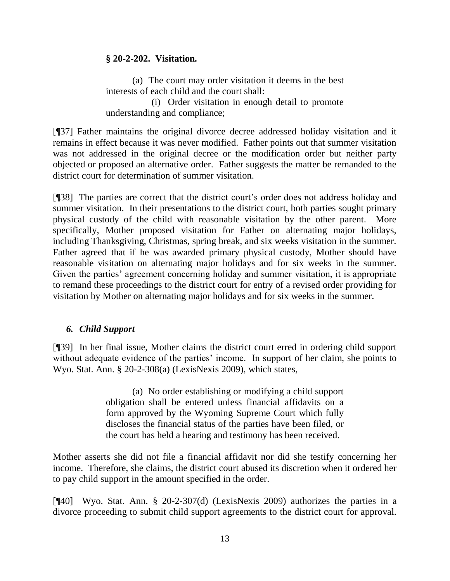### **§ 20-2-202. Visitation.**

(a) The court may order visitation it deems in the best interests of each child and the court shall:

 (i) Order visitation in enough detail to promote understanding and compliance;

[¶37] Father maintains the original divorce decree addressed holiday visitation and it remains in effect because it was never modified. Father points out that summer visitation was not addressed in the original decree or the modification order but neither party objected or proposed an alternative order. Father suggests the matter be remanded to the district court for determination of summer visitation.

[¶38] The parties are correct that the district court's order does not address holiday and summer visitation. In their presentations to the district court, both parties sought primary physical custody of the child with reasonable visitation by the other parent. More specifically, Mother proposed visitation for Father on alternating major holidays, including Thanksgiving, Christmas, spring break, and six weeks visitation in the summer. Father agreed that if he was awarded primary physical custody, Mother should have reasonable visitation on alternating major holidays and for six weeks in the summer. Given the parties' agreement concerning holiday and summer visitation, it is appropriate to remand these proceedings to the district court for entry of a revised order providing for visitation by Mother on alternating major holidays and for six weeks in the summer.

## *6. Child Support*

[¶39] In her final issue, Mother claims the district court erred in ordering child support without adequate evidence of the parties' income. In support of her claim, she points to Wyo. Stat. Ann. § 20-2-308(a) (LexisNexis 2009), which states,

> (a) No order establishing or modifying a child support obligation shall be entered unless financial affidavits on a form approved by the Wyoming Supreme Court which fully discloses the financial status of the parties have been filed, or the court has held a hearing and testimony has been received.

Mother asserts she did not file a financial affidavit nor did she testify concerning her income. Therefore, she claims, the district court abused its discretion when it ordered her to pay child support in the amount specified in the order.

[¶40] Wyo. Stat. Ann. § 20-2-307(d) (LexisNexis 2009) authorizes the parties in a divorce proceeding to submit child support agreements to the district court for approval.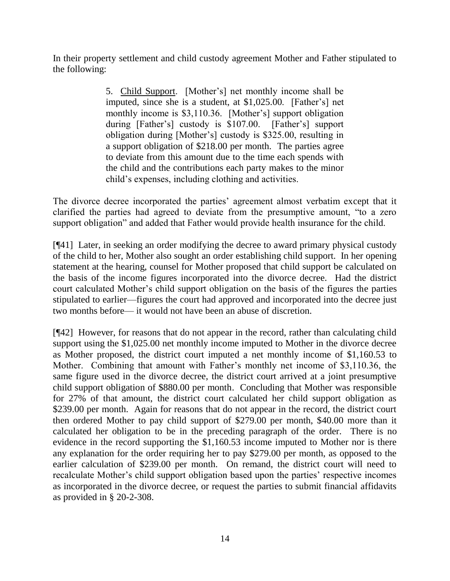In their property settlement and child custody agreement Mother and Father stipulated to the following:

> 5. Child Support. [Mother's] net monthly income shall be imputed, since she is a student, at \$1,025.00. [Father's] net monthly income is \$3,110.36. [Mother's] support obligation during [Father's] custody is \$107.00. [Father's] support obligation during [Mother's] custody is \$325.00, resulting in a support obligation of \$218.00 per month. The parties agree to deviate from this amount due to the time each spends with the child and the contributions each party makes to the minor child's expenses, including clothing and activities.

The divorce decree incorporated the parties' agreement almost verbatim except that it clarified the parties had agreed to deviate from the presumptive amount, "to a zero" support obligation" and added that Father would provide health insurance for the child.

[¶41] Later, in seeking an order modifying the decree to award primary physical custody of the child to her, Mother also sought an order establishing child support. In her opening statement at the hearing, counsel for Mother proposed that child support be calculated on the basis of the income figures incorporated into the divorce decree. Had the district court calculated Mother's child support obligation on the basis of the figures the parties stipulated to earlier—figures the court had approved and incorporated into the decree just two months before— it would not have been an abuse of discretion.

[¶42] However, for reasons that do not appear in the record, rather than calculating child support using the \$1,025.00 net monthly income imputed to Mother in the divorce decree as Mother proposed, the district court imputed a net monthly income of \$1,160.53 to Mother. Combining that amount with Father's monthly net income of \$3,110.36, the same figure used in the divorce decree, the district court arrived at a joint presumptive child support obligation of \$880.00 per month. Concluding that Mother was responsible for 27% of that amount, the district court calculated her child support obligation as \$239.00 per month. Again for reasons that do not appear in the record, the district court then ordered Mother to pay child support of \$279.00 per month, \$40.00 more than it calculated her obligation to be in the preceding paragraph of the order. There is no evidence in the record supporting the \$1,160.53 income imputed to Mother nor is there any explanation for the order requiring her to pay \$279.00 per month, as opposed to the earlier calculation of \$239.00 per month. On remand, the district court will need to recalculate Mother's child support obligation based upon the parties' respective incomes as incorporated in the divorce decree, or request the parties to submit financial affidavits as provided in § 20-2-308.